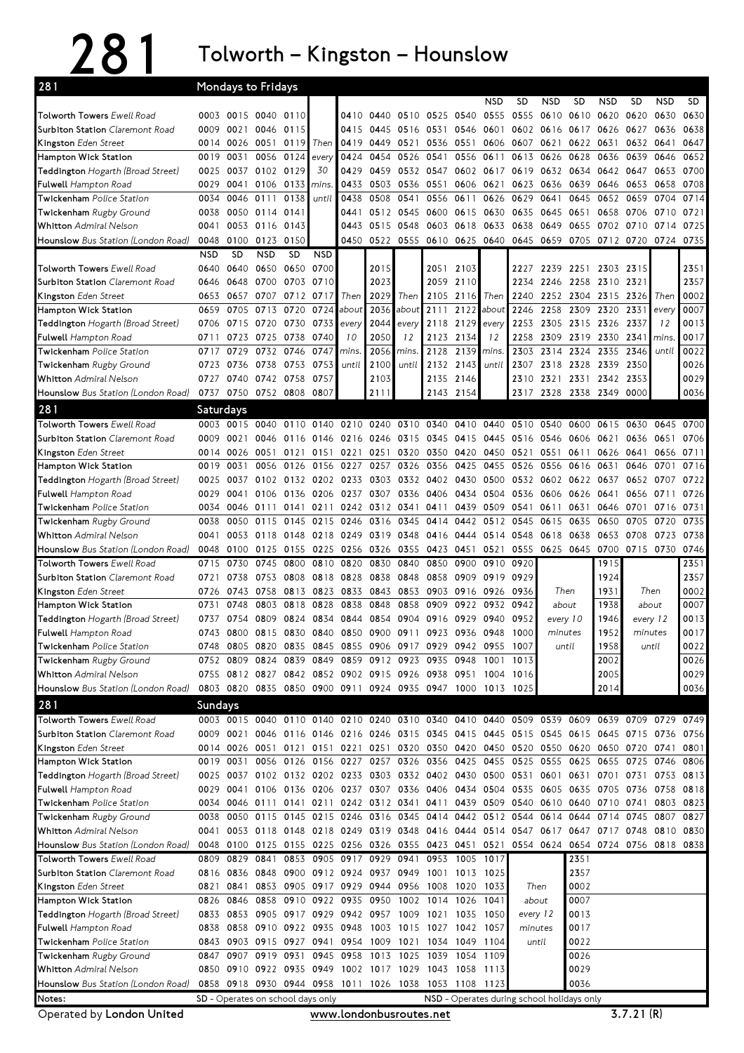## 281 Tolworth – Kingston – Hounslow

| 281                                                      |                    |                   | <b>Mondays to Fridays</b> |                   |                                                                                                                                      |                          |                |           |                |                   |                |                                                                  |                     |                |                |                     |            |              |
|----------------------------------------------------------|--------------------|-------------------|---------------------------|-------------------|--------------------------------------------------------------------------------------------------------------------------------------|--------------------------|----------------|-----------|----------------|-------------------|----------------|------------------------------------------------------------------|---------------------|----------------|----------------|---------------------|------------|--------------|
|                                                          |                    |                   |                           |                   |                                                                                                                                      |                          |                |           |                |                   | NSD            | SD                                                               | <b>NSD</b>          | <b>SD</b>      | <b>NSD</b>     | SD                  | <b>NSD</b> | <b>SD</b>    |
| <b>Tolworth Towers Ewell Road</b>                        | 0003               | 0015              | 0040                      | 0110              |                                                                                                                                      | 0410                     | 0440           | 0510 0525 |                | 0540              | 0555           | 0555                                                             | 0610                | 0610 0620      |                | 0620                | 0630       | 0630         |
| <b>Surbiton Station</b> Claremont Road                   | 0009               | 0021              | 0046                      | 0115              |                                                                                                                                      | 0415                     | 0445           | 0516 0531 |                | 0546              | 0601           | 0602                                                             | 0616                | 0617           | 0626           | 0627                | 0636       | 0638         |
| Kingston Eden Street                                     | 0014               | 0026              | 0051                      | 0119              | Then                                                                                                                                 | 0419                     | 0449           | 0521      | 0536           | 0551              | 0606           | 0607                                                             | 0621                | 0622 0631      |                | 0632 0641           |            | 0647         |
| Hampton Wick Station                                     | 0019               | 0031              | 0056                      | 0124              | every                                                                                                                                | 0424                     | 0454           | 0526      | 0541           | 0556              | 0611           | 0613                                                             | 0626                | 0628           | 0636           | 0639                | 0646       | 0652         |
| Teddington Hogarth (Broad Street)                        | 0025               | 0037              | 0102 0129                 |                   | 30                                                                                                                                   | 0429                     | 0459           | 0532 0547 |                |                   | 0602 0617      | 0619                                                             | 0632 0634           |                | 0642           | 0647                | 0653       | 0700         |
| <b>Fulwell</b> Hampton Road                              | 0029               | 0041              | 0106                      | 0133              | mins.                                                                                                                                | 0433                     | 0503           | 0536 0551 |                |                   | 0606 0621      | 0623                                                             | 0636                | 0639           | 0646           | 0653                | 0658       | 0708         |
| <b>Twickenham</b> Police Station                         | 0034               | 0046              | 0111                      | 0138              | until                                                                                                                                | 0438                     | 0508           | 0541      | 0556           | 0611              | 0626           | 0629                                                             | 0641                | 0645           | 0652           | 0659                | 0704       | 0714         |
| Twickenham Rugby Ground                                  | 0038               | 0050              | 0114                      | 0141              |                                                                                                                                      | 0441                     | 0512           | 0545 0600 |                | 0615 0630         |                | 0635                                                             | 0645                | 0651           | 0658           | 0706                | 0710       | 0721         |
| <b>Whitton</b> Admiral Nelson                            | 0041               |                   | 0053 0116                 | 0143              |                                                                                                                                      | 0443                     | 0515           | 0548 0603 |                |                   | 0618 0633 0638 |                                                                  | 0649                | 0655           | 0702 0710      |                     | 0714       | 0725         |
| <b>Hounslow</b> Bus Station (London Road)                | 0048               |                   | 0100 0123                 | 0150              |                                                                                                                                      |                          |                |           |                |                   |                | 0450 0522 0555 0610 0625 0640 0645 0659 0705 0712 0720 0724 0735 |                     |                |                |                     |            |              |
| <b>Tolworth Towers Ewell Road</b>                        | <b>NSD</b><br>0640 | <b>SD</b><br>0640 | <b>NSD</b><br>0650        | <b>SD</b><br>0650 | <b>NSD</b><br>0700                                                                                                                   |                          | 2015           |           | 2051           | 2103              |                | 2227                                                             | 2239 2251           |                | 2303 2315      |                     |            | 2351         |
| <b>Surbiton Station Claremont Road</b>                   | 0646               | 0648              | 0700                      | 0703              | 0710                                                                                                                                 |                          | 2023           |           | 2059           | 2110              |                | 2234                                                             | 2246                | 2258           | 2310           | 2321                |            | 2357         |
| Kingston Eden Street                                     | 0653               | 0657              | 0707                      | 0712              | 0717                                                                                                                                 | Then                     | 2029           | Then      | 2105           | 2116              | Then           | 2240                                                             | 2252 2304           |                | 2315           | 2326                | Then       | 0002         |
| <b>Hampton Wick Station</b>                              | 0659               | 0705              | 0713                      | 0720              | 0724                                                                                                                                 | about                    | 2036           | about     | 2111           | 2122              | about          | 2246                                                             | 2258                | 2309           | 2320           | 2331                | every      | 0007         |
| Teddington Hogarth (Broad Street)                        | 0706               |                   | 0715 0720 0730            |                   | 0733                                                                                                                                 | every                    | 2044           | every     | 2118           | 2129              | every          | 2253                                                             | 2305                | 2315 2326      |                | 2337                | 12         | 0013         |
| <b>Fulwell</b> Hampton Road                              | 0711               | 0723              | 0725                      | 0738              | 0740                                                                                                                                 | 10                       | 2050           | 12        | 2123           | 2134              | 12             | 2258                                                             | 2309                | 2319           | 2330           | 2341                | mins.      | 0017         |
| <b>Twickenham</b> Police Station                         | 0717               | 0729              | 0732 0746                 |                   | 0747                                                                                                                                 | mins.                    | 2056           | mins      | 2128           | 2139              | mins.          | 2303                                                             | 2314                | 2324           | 2335           | 2346                | until      | 0022         |
| Twickenham Rugby Ground                                  | 0723               | 0736              | 0738 0753                 |                   | 0753                                                                                                                                 | until                    | 2100           | until     | 2132           | 2143              | until          | 2307                                                             | 2318 2328           |                | 2339           | 2350                |            | 0026         |
| <b>Whitton</b> Admiral Nelson                            | 0727               | 0740              | 0742 0758                 |                   | 0757                                                                                                                                 |                          | 2103           |           | 2135           | 2146              |                | 2310                                                             | 2321                | 2331 2342      |                | 2353                |            | 0029         |
| Hounslow Bus Station (London Road)                       | 0737               | 0750              | 0752 0808                 |                   | 0807                                                                                                                                 |                          | 2111           |           | 2143           | 2154              |                | 2317                                                             | 2328                |                | 2338 2349 0000 |                     |            | 0036         |
| 281                                                      | Saturdays          |                   |                           |                   |                                                                                                                                      |                          |                |           |                |                   |                |                                                                  |                     |                |                |                     |            |              |
| Tolworth Towers Ewell Road                               | 0003               | 0015              | 0040                      | 0110              | 0140                                                                                                                                 | 0210                     | 0240           | 0310 0340 |                | 0410              | 0440           | 0510                                                             | 0540                | 0600           | 0615           | 0630                | 0645       | 0700         |
| <b>Surbiton Station Claremont Road</b>                   | 0009               | 0021              | 0046                      | 0116              | 0146                                                                                                                                 | 0216                     | 0246           | 0315      | 0345           | 0415              | 0445           | 0516                                                             | 0546                | 0606           | 0621           | 0636                | 0651       | 0706         |
| Kingston Eden Street                                     | 0014               | 0026              | 0051                      | 0121              |                                                                                                                                      | 0151 0221                | 0251           |           |                |                   |                | 0320 0350 0420 0450 0521                                         | 0551                | 0611           | 0626           | 0641                | 0656       | 0711         |
| <b>Hampton Wick Station</b>                              | 0019               | 0031              | 0056                      | 0126              | 0156                                                                                                                                 | 0227                     | 0257           | 0326      | 0356           | 0425              | 0455           | 0526                                                             | 0556                | 0616           | 0631           | 0646                | 0701       | 0716         |
| Teddington Hogarth (Broad Street)                        | 0025               | 0037              | 0102                      |                   | 0132 0202 0233                                                                                                                       |                          | 0303           | 0332 0402 |                | 0430 0500         |                | 0532                                                             |                     | 0602 0622 0637 |                | 0652 0707           |            | 0722         |
| <b>Fulwell</b> Hampton Road                              | 0029               | 0041              | 0106                      | 0136              | 0206 0237                                                                                                                            |                          | 0307           |           | 0336 0406      | 0434 0504         |                | 0536                                                             | 0606                | 0626           | 0641           | 0656                | 0711       | 0726         |
| Twickenham Police Station                                | 0034               | 0046              | 0111                      | 0141              | 0211                                                                                                                                 |                          | 0242 0312 0341 |           | 0411           |                   | 0439 0509      | 0541                                                             | 0611                | 0631           | 0646           | 0701                | 0716       | 0731         |
| <b>Twickenham</b> Rugby Ground                           | 0038               | 0050              | 0115                      | 0145              | 0215                                                                                                                                 | 0246                     | 0316           | 0345      | 0414           | 0442              | 0512           | 0545                                                             | 0615                | 0635           | 0650           | 0705                | 0720       | 0735         |
| <b>Whitton</b> Admiral Nelson                            | 0041               | 0053              | 0118                      | 0148              | 0218                                                                                                                                 | 0249                     | 0319           | 0348 0416 |                | 0444 0514 0548    |                |                                                                  | 0618                | 0638           | 0653           | 0708                | 0723       | 0738         |
| Hounslow Bus Station (London Road)                       | 0048               | 0100              | 0125                      | 0155              | 0225                                                                                                                                 | 0256                     | 0326           | 0355      | 0423           | 0451              | 0521           | 0555                                                             | 0625                | 0645           | 0700           | 0715 0730           |            | 0746         |
| <b>Tolworth Towers Ewell Road</b>                        | 0715               | 0730              | 0745                      | 0800              | 0810                                                                                                                                 | 0820                     | 0830           | 0840      | 0850           | 0900              | 0910           | 0920                                                             |                     |                | 1915           |                     |            | 2351         |
| <b>Surbiton Station</b> Claremont Road                   | 0721               | 0738              | 0753                      | 0808              | 0818                                                                                                                                 | 0828                     | 0838           | 0848      | 0858           | 0909              | 0919 0929      |                                                                  |                     |                | 1924           |                     |            | 2357         |
| Kingston Eden Street                                     | 0726               | 0743              | 0758                      | 0813              | 0823                                                                                                                                 | 0833                     | 0843           | 0853      | 0903           |                   | 0916 0926 0936 |                                                                  | Then                |                | 1931           | Then<br>about       |            | 0002         |
| <b>Hampton Wick Station</b>                              | 0731               | 0748              | 0803                      | 0818              | 0828                                                                                                                                 | 0838                     | 0848           | 0858      | 0909           | 0922              | 0932           | 0942                                                             | about               |                | 1938           |                     |            | 0007         |
| <b>Teddington</b> Hogarth (Broad Street)                 | 0737<br>0743       | 0754<br>0800      | 0809                      | 0824              | 0834<br>0815 0830 0840 0850 0900 0911 0923                                                                                           | 0844                     | 0854           | 0904      | 0916           | 0929<br>0936 0948 | 0940           | 0952<br>1000                                                     | every 10<br>minutes |                | 1946<br>1952   | every 12<br>minutes |            | 0013<br>0017 |
| <b>Fulwell</b> Hampton Road<br>Twickenham Police Station | 0748               |                   | 0805 0820 0835            |                   | 0845 0855 0906 0917 0929 0942 0955 1007                                                                                              |                          |                |           |                |                   |                |                                                                  | until               |                | 1958           | until               |            | 0022         |
| Twickenham Rugby Ground                                  |                    | 0752 0809         | 0824                      | 0839              | 0849                                                                                                                                 | 0859 0912 0923 0935      |                |           |                | 0948              | 1001           | 1013                                                             |                     |                | 2002           |                     |            | 0026         |
| <b>Whitton</b> Admiral Nelson                            |                    |                   |                           |                   | 0755 0812 0827 0842 0852 0902 0915 0926 0938                                                                                         |                          |                |           |                | 0951 1004 1016    |                |                                                                  |                     |                | 2005           |                     |            | 0029         |
| Hounslow Bus Station (London Road)                       |                    |                   |                           |                   | 0803 0820 0835 0850 0900 0911 0924 0935 0947 1000 1013 1025                                                                          |                          |                |           |                |                   |                |                                                                  |                     |                | 2014           |                     |            | 0036         |
| 281                                                      | Sundays            |                   |                           |                   |                                                                                                                                      |                          |                |           |                |                   |                |                                                                  |                     |                |                |                     |            |              |
| Tolworth Towers Ewell Road                               |                    |                   |                           |                   | 0003 0015 0040 0110 0140 0210 0240 0310 0340 0410 0440 0509 0539 0609 0639 0709 0729 0749                                            |                          |                |           |                |                   |                |                                                                  |                     |                |                |                     |            |              |
| Surbiton Station Claremont Road                          |                    | 0009 0021         |                           |                   | 0046 0116 0146 0216 0246 0315 0345 0415 0445 0515 0545 0615 0645 0715 0736 0756                                                      |                          |                |           |                |                   |                |                                                                  |                     |                |                |                     |            |              |
| Kingston Eden Street                                     |                    |                   |                           |                   | 0014 0026 0051 0121 0151 0221 0251 0320 0350 0420 0450 0520 0550 0620 0650 0720 0741                                                 |                          |                |           |                |                   |                |                                                                  |                     |                |                |                     |            | 0801         |
| Hampton Wick Station                                     |                    |                   |                           |                   |                                                                                                                                      |                          |                |           |                |                   |                |                                                                  |                     |                |                |                     |            | 0806         |
|                                                          |                    |                   |                           |                   |                                                                                                                                      |                          |                |           |                |                   |                |                                                                  |                     |                |                |                     |            | 0813         |
|                                                          |                    | 0019 0031         |                           |                   | 0056 0126 0156 0227 0257 0326 0356 0425 0455 0525 0555 0625 0655 0725 0746                                                           |                          |                |           |                |                   |                |                                                                  |                     |                |                |                     |            | 0818         |
| Teddington Hogarth (Broad Street)                        | 0025<br>0029       | 0041              |                           |                   | 0037 0102 0132 0202 0233 0303 0332 0402 0430 0500 0531 0601 0631 0701 0731 0753<br>0106 0136 0206 0237 0307 0336 0406 0434 0504 0535 |                          |                |           |                |                   |                |                                                                  | 0605 0635           |                |                | 0705 0736 0758      |            |              |
| Fulwell Hampton Road<br><b>Twickenham</b> Police Station |                    |                   |                           |                   | 0034 0046 0111 0141 0211 0242 0312 0341 0411                                                                                         |                          |                |           |                |                   |                | 0439 0509 0540 0610 0640 0710 0741                               |                     |                |                |                     |            | 0803 0823    |
| <b>Twickenham</b> Rugby Ground                           | 0038               |                   |                           |                   | 0050 0115 0145 0215 0246 0316 0345 0414                                                                                              |                          |                |           |                | 0442 0512 0544    |                |                                                                  | 0614 0644           |                | 0714 0745      |                     | 0807       | 0827         |
| <b>Whitton</b> Admiral Nelson                            | 0041               |                   |                           |                   | 0053 0118 0148 0218 0249 0319 0348 0416 0444 0514 0547 0617 0647 0717 0748                                                           |                          |                |           |                |                   |                |                                                                  |                     |                |                |                     | 0810 0830  |              |
| Hounslow Bus Station (London Road)                       |                    |                   |                           |                   | 0048 0100 0125 0155 0225 0256 0326 0355 0423 0451 0521 0554 0624 0654 0724 0756 0818 0838                                            |                          |                |           |                |                   |                |                                                                  |                     |                |                |                     |            |              |
| Tolworth Towers Ewell Road                               |                    | 0809 0829         | 0841                      |                   | 0853 0905 0917 0929 0941 0953                                                                                                        |                          |                |           |                | 1005 1017         |                |                                                                  |                     | 2351           |                |                     |            |              |
| Surbiton Station Claremont Road                          |                    |                   |                           |                   | 0816 0836 0848 0900 0912 0924 0937 0949 1001 1013 1025                                                                               |                          |                |           |                |                   |                |                                                                  |                     | 2357           |                |                     |            |              |
| Kingston Eden Street                                     | 0821               | 0841              | 0853                      |                   | 0905 0917 0929 0944                                                                                                                  |                          |                |           | 0956 1008      | 1020              | 1033           | Then                                                             |                     | 0002           |                |                     |            |              |
| Hampton Wick Station                                     |                    | 0826 0846         | 0858                      |                   | 0910 0922 0935                                                                                                                       |                          | 0950           |           | 1002 1014 1026 |                   | 1041           | about                                                            |                     | 0007           |                |                     |            |              |
| Teddington Hogarth (Broad Street)                        | 0833               |                   |                           |                   | 0853 0905 0917 0929 0942 0957 1009 1021 1035 1050                                                                                    |                          |                |           |                |                   |                | every 12                                                         |                     | 0013           |                |                     |            |              |
| <b>Fulwell</b> Hampton Road                              | 0838               | 0858              |                           |                   | 0910 0922 0935 0948                                                                                                                  |                          | 1003           | 1015 1027 |                | 1042 1057         |                | minutes                                                          |                     | 0017           |                |                     |            |              |
| Twickenham Police Station                                |                    |                   |                           |                   | 0843 0903 0915 0927 0941 0954 1009 1021 1034                                                                                         |                          |                |           |                | 1049 1104         |                |                                                                  | until               | 0022           |                |                     |            |              |
| Twickenham Rugby Ground                                  |                    | 0847 0907         | 0919 0931                 |                   |                                                                                                                                      | 0945 0958 1013 1025 1039 |                |           |                | 1054 1109         |                |                                                                  |                     | 0026           |                |                     |            |              |
| <b>Whitton</b> Admiral Nelson                            |                    |                   |                           |                   | 0850 0910 0922 0935 0949 1002 1017                                                                                                   |                          |                |           | 1029 1043      | 1058              | 1113           |                                                                  |                     | 0029           |                |                     |            |              |
| Hounslow Bus Station (London Road)<br>Notes:             |                    |                   |                           |                   | 0858 0918 0930 0944 0958 1011 1026 1038 1053<br>SD - Operates on school days only                                                    |                          |                |           |                | 1108 1123         |                | NSD - Operates during school holidays only                       |                     | 0036           |                |                     |            |              |

Operated by London United www.londonbusroutes.net 3.7.21 (R)